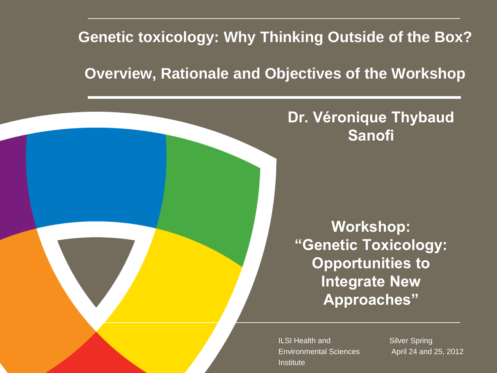### **Genetic toxicology: Why Thinking Outside of the Box?**

### **Overview, Rationale and Objectives of the Workshop**

### **Dr. Véronique Thybaud Sanofi**

**Workshop: "Genetic Toxicology: Opportunities to Integrate New Approaches"**

ILSI Health and Environmental Sciences **Institute** 

Silver Spring April 24 and 25, 2012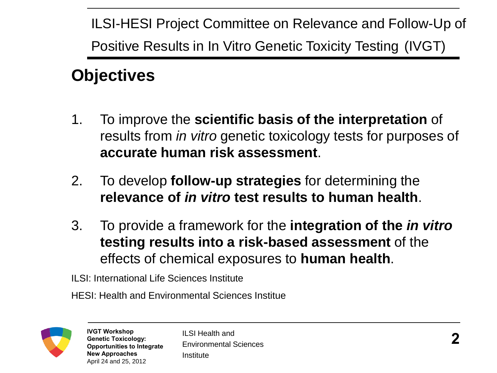ILSI-HESI Project Committee on Relevance and Follow-Up of Positive Results in In Vitro Genetic Toxicity Testing (IVGT)

### **Objectives**

- 1. To improve the **scientific basis of the interpretation** of results from *in vitro* genetic toxicology tests for purposes of **accurate human risk assessment**.
- 2. To develop **follow-up strategies** for determining the **relevance of** *in vitro* **test results to human health**.
- 3. To provide a framework for the **integration of the** *in vitro* **testing results into a risk-based assessment** of the effects of chemical exposures to **human health**.

ILSI: International Life Sciences Institute

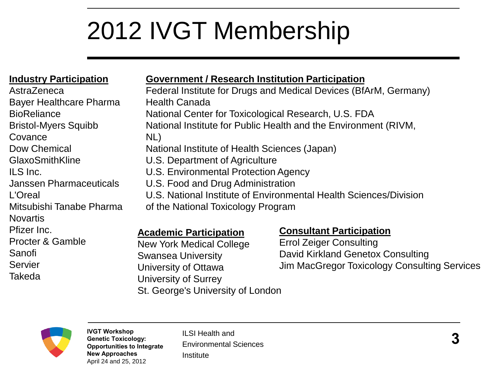# 2012 IVGT Membership

#### **Industry Participation**

AstraZeneca Bayer Healthcare Pharma **BioReliance** Bristol-Myers Squibb **Covance** Dow Chemical GlaxoSmithKline ILS Inc. Janssen Pharmaceuticals L'Oreal Mitsubishi Tanabe Pharma **Novartis** Pfizer Inc. Procter & Gamble Sanofi Servier Takeda

#### **Government / Research Institution Participation**

Federal Institute for Drugs and Medical Devices (BfArM, Germany) Health Canada National Center for Toxicological Research, U.S. FDA National Institute for Public Health and the Environment (RIVM, NL) National Institute of Health Sciences (Japan) U.S. Department of Agriculture U.S. Environmental Protection Agency U.S. Food and Drug Administration U.S. National Institute of Environmental Health Sciences/Division of the National Toxicology Program

#### **Academic Participation**

New York Medical College Swansea University University of Ottawa University of Surrey St. George's University of London

#### **Consultant Participation**

Errol Zeiger Consulting David Kirkland Genetox Consulting Jim MacGregor Toxicology Consulting Services

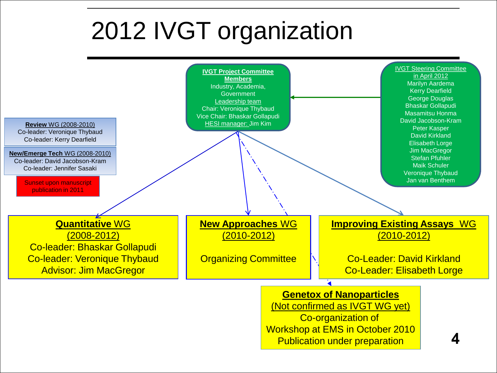# 2012 IVGT organization

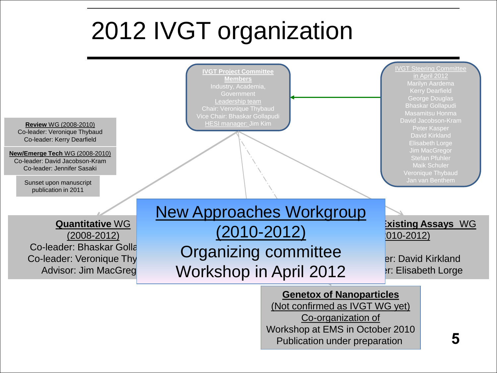# 2012 IVGT organization



Environmental Sciences

**Genetox of Nanoparticles** (Not confirmed as IVGT WG yet) Co-organization of Workshop at EMS in October 2010 Publication under preparation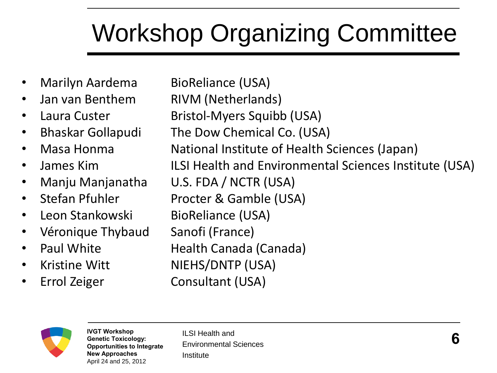# Workshop Organizing Committee

- Marilyn Aardema BioReliance (USA)
- 
- 
- 
- 
- 
- 
- 
- 
- Véronique Thybaud Sanofi (France)
- 
- 
- 

• Jan van Benthem RIVM (Netherlands) • Laura Custer Bristol-Myers Squibb (USA) • Bhaskar Gollapudi The Dow Chemical Co. (USA) • Masa Honma **National Institute of Health Sciences (Japan)** • James Kim **ILSI Health and Environmental Sciences Institute (USA)** • Manju Manjanatha U.S. FDA / NCTR (USA) • Stefan Pfuhler Procter & Gamble (USA) • Leon Stankowski BioReliance (USA) • Paul White Health Canada (Canada) • Kristine Witt NIEHS/DNTP (USA) • Errol Zeiger Consultant (USA)

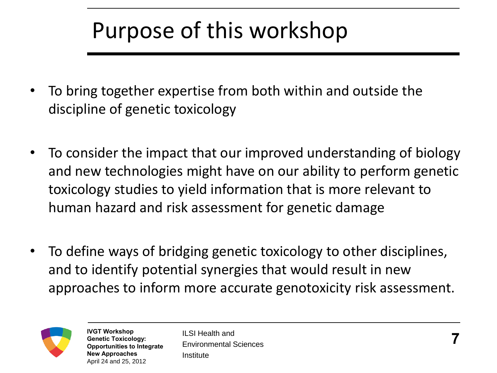## Purpose of this workshop

- To bring together expertise from both within and outside the discipline of genetic toxicology
- To consider the impact that our improved understanding of biology and new technologies might have on our ability to perform genetic toxicology studies to yield information that is more relevant to human hazard and risk assessment for genetic damage
- To define ways of bridging genetic toxicology to other disciplines, and to identify potential synergies that would result in new approaches to inform more accurate genotoxicity risk assessment.

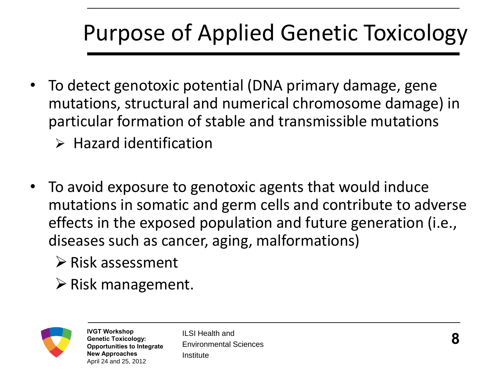# Purpose of Applied Genetic Toxicology

- To detect genotoxic potential (DNA primary damage, gene mutations, structural and numerical chromosome damage) in particular formation of stable and transmissible mutations
	- $\triangleright$  Hazard identification
- To avoid exposure to genotoxic agents that would induce mutations in somatic and germ cells and contribute to adverse effects in the exposed population and future generation (i.e., diseases such as cancer, aging, malformations)
	- $\triangleright$  Risk assessment
	- $\triangleright$  Risk management.

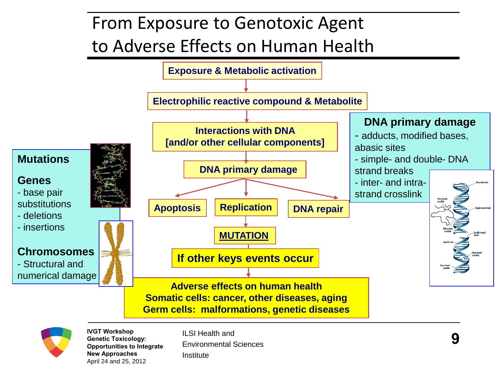## From Exposure to Genotoxic Agent to Adverse Effects on Human Health





**Genetic Toxicology: Opportunities to Integrate New Approaches**  April 24 and 25, 2012

Environmental Sciences Institute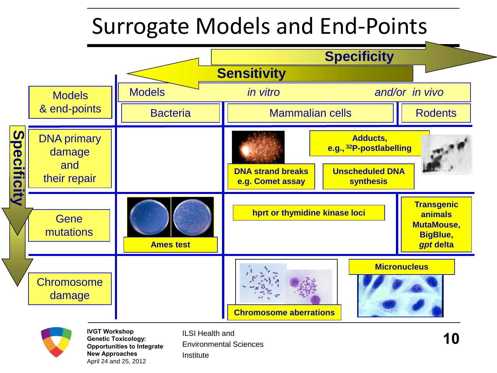## Surrogate Models and End-Points



April 24 and 25, 2012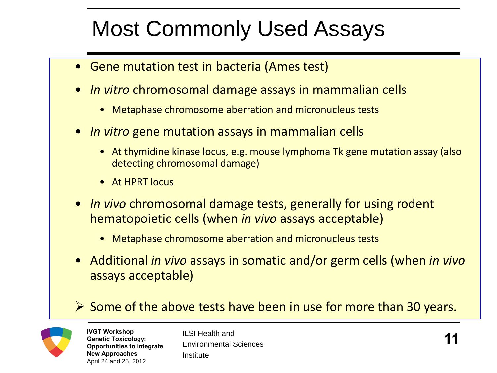## Most Commonly Used Assays

- Gene mutation test in bacteria (Ames test)
- *In vitro* chromosomal damage assays in mammalian cells
	- Metaphase chromosome aberration and micronucleus tests
- *In vitro* gene mutation assays in mammalian cells
	- At thymidine kinase locus, e.g. mouse lymphoma Tk gene mutation assay (also detecting chromosomal damage)
	- At HPRT locus
- *In vivo* chromosomal damage tests, generally for using rodent hematopoietic cells (when *in vivo* assays acceptable)
	- Metaphase chromosome aberration and micronucleus tests
- Additional *in vivo* assays in somatic and/or germ cells (when *in vivo* assays acceptable)

#### $\triangleright$  Some of the above tests have been in use for more than 30 years.



**IVGT Workshop Genetic Toxicology: Opportunities to Integrate New Approaches**  April 24 and 25, 2012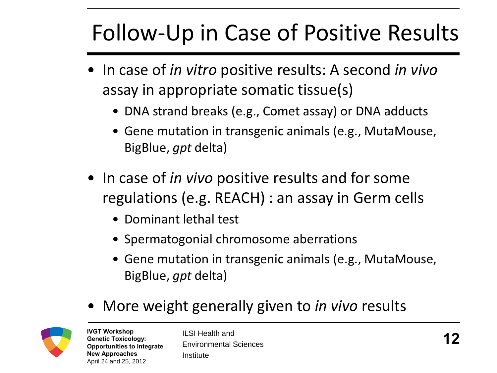# Follow-Up in Case of Positive Results

- In case of *in vitro* positive results: A second *in vivo* assay in appropriate somatic tissue(s)
	- DNA strand breaks (e.g., Comet assay) or DNA adducts
	- Gene mutation in transgenic animals (e.g., MutaMouse, BigBlue, *gpt* delta)
- In case of *in vivo* positive results and for some regulations (e.g. REACH) : an assay in Germ cells
	- Dominant lethal test
	- Spermatogonial chromosome aberrations
	- Gene mutation in transgenic animals (e.g., MutaMouse, BigBlue, *gpt* delta)
- More weight generally given to *in vivo* results



**IVGT Workshop Genetic Toxicology: Opportunities to Integrate New Approaches**  April 24 and 25, 2012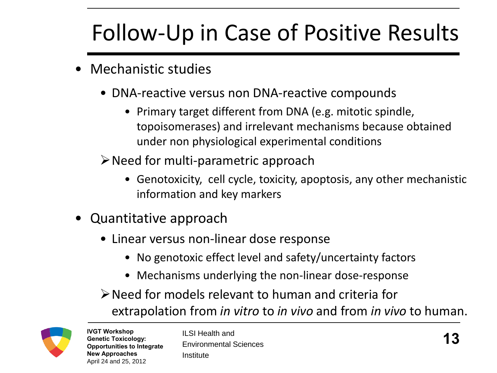# Follow-Up in Case of Positive Results

- Mechanistic studies
	- DNA-reactive versus non DNA-reactive compounds
		- Primary target different from DNA (e.g. mitotic spindle, topoisomerases) and irrelevant mechanisms because obtained under non physiological experimental conditions

 $\triangleright$  Need for multi-parametric approach

- Genotoxicity, cell cycle, toxicity, apoptosis, any other mechanistic information and key markers
- Quantitative approach
	- Linear versus non-linear dose response
		- No genotoxic effect level and safety/uncertainty factors
		- Mechanisms underlying the non-linear dose-response

Need for models relevant to human and criteria for extrapolation from *in vitro* to *in vivo* and from *in vivo* to human.

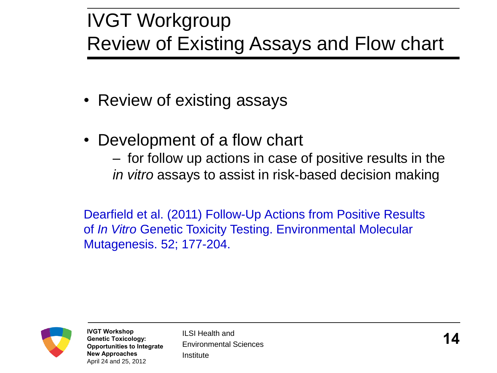## IVGT Workgroup Review of Existing Assays and Flow chart

- Review of existing assays
- Development of a flow chart

– for follow up actions in case of positive results in the *in vitro* assays to assist in risk-based decision making

Dearfield et al. (2011) Follow-Up Actions from Positive Results of *In Vitro* Genetic Toxicity Testing. Environmental Molecular Mutagenesis. 52; 177-204.



**IVGT Workshop Genetic Toxicology: Opportunities to Integrate New Approaches**  April 24 and 25, 2012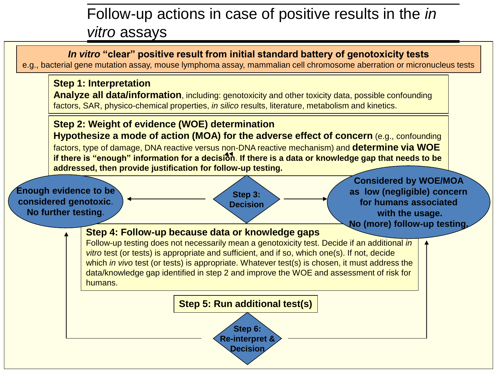### Follow-up actions in case of positive results in the *in vitro* assays

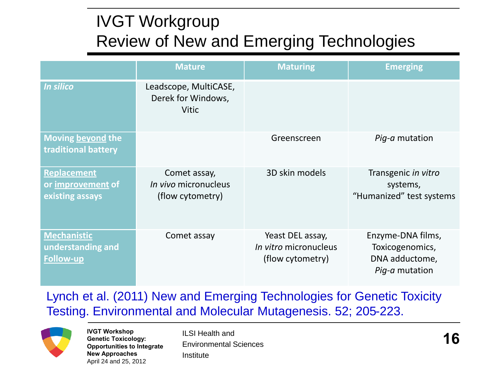### IVGT Workgroup Review of New and Emerging Technologies

|                                                             | <b>Mature</b>                                                   | <b>Maturing</b>                                                      | <b>Emerging</b>                                                          |
|-------------------------------------------------------------|-----------------------------------------------------------------|----------------------------------------------------------------------|--------------------------------------------------------------------------|
| <b>In silico</b>                                            | Leadscope, MultiCASE,<br>Derek for Windows,<br><b>Vitic</b>     |                                                                      |                                                                          |
| Moving beyond the<br>traditional battery                    |                                                                 | Greenscreen                                                          | Pig-a mutation                                                           |
| <b>Replacement</b><br>or improvement of<br>existing assays  | Comet assay,<br><i>In vivo</i> micronucleus<br>(flow cytometry) | 3D skin models                                                       | Transgenic in vitro<br>systems,<br>"Humanized" test systems              |
| <b>Mechanistic</b><br>understanding and<br><b>Follow-up</b> | Comet assay                                                     | Yeast DEL assay,<br><i>In vitro</i> micronucleus<br>(flow cytometry) | Enzyme-DNA films,<br>Toxicogenomics,<br>DNA adductome,<br>Pig-a mutation |

#### Lynch et al. (2011) New and Emerging Technologies for Genetic Toxicity Testing. Environmental and Molecular Mutagenesis. 52; 205-223.



**IVGT Workshop**<br>Genetic Toxicology: ILSI Health and<br>Opportunities to Integrate Environmental Sciences **Genetic Toxicology: Opportunities to Integrate New Approaches**  April 24 and 25, 2012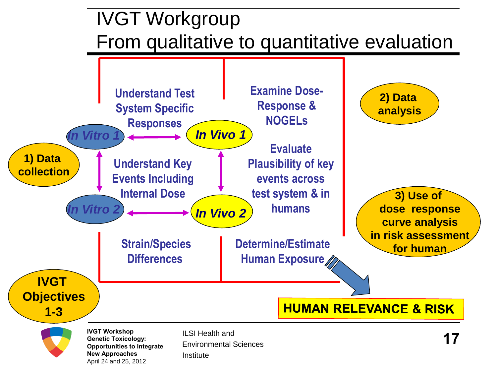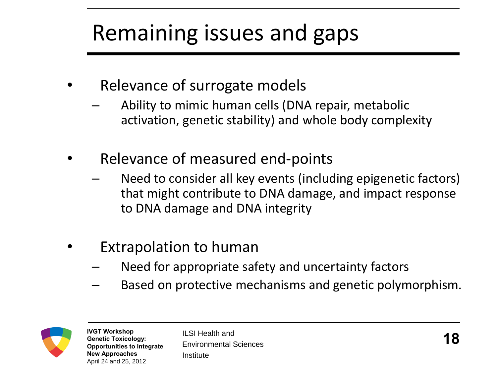# Remaining issues and gaps

- Relevance of surrogate models
	- Ability to mimic human cells (DNA repair, metabolic activation, genetic stability) and whole body complexity
- Relevance of measured end-points
	- Need to consider all key events (including epigenetic factors) that might contribute to DNA damage, and impact response to DNA damage and DNA integrity
- Extrapolation to human
	- Need for appropriate safety and uncertainty factors
	- Based on protective mechanisms and genetic polymorphism.

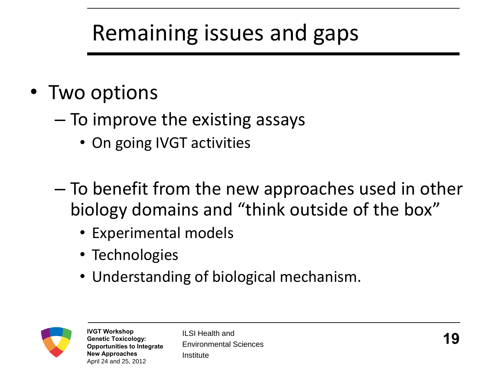## Remaining issues and gaps

- Two options
	- To improve the existing assays
		- On going IVGT activities
	- To benefit from the new approaches used in other biology domains and "think outside of the box"
		- Experimental models
		- Technologies
		- Understanding of biological mechanism.



**Genetic Toxicology: Opportunities to Integrate New Approaches**  April 24 and 25, 2012

ILSI Health and Environmental Sciences Institute **IVGT Workshop**<br>Genetic Toxicology: ILSI Health and<br>Opportunities to Integrate Environmental Sciences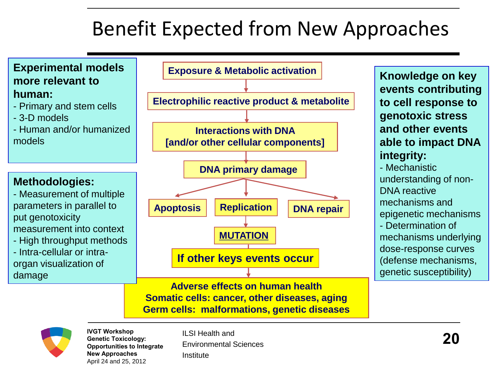## Benefit Expected from New Approaches





**IVGT Workshop Genetic Toxicology: Opportunities to Integrate New Approaches**  April 24 and 25, 2012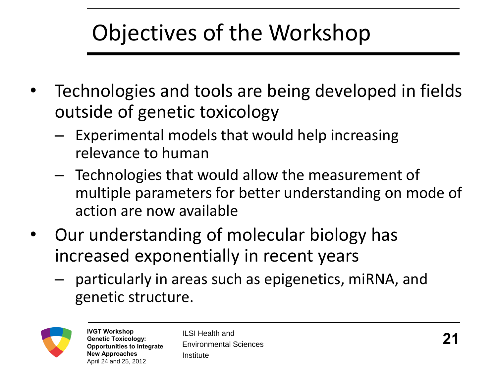## Objectives of the Workshop

- Technologies and tools are being developed in fields outside of genetic toxicology
	- Experimental models that would help increasing relevance to human
	- Technologies that would allow the measurement of multiple parameters for better understanding on mode of action are now available
- Our understanding of molecular biology has increased exponentially in recent years
	- particularly in areas such as epigenetics, miRNA, and genetic structure.

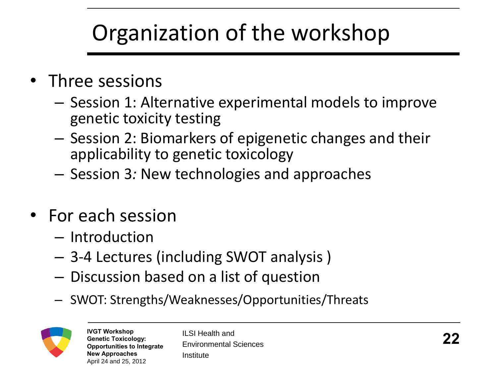# Organization of the workshop

- Three sessions
	- Session 1: Alternative experimental models to improve genetic toxicity testing
	- Session 2: Biomarkers of epigenetic changes and their applicability to genetic toxicology
	- Session 3*:* New technologies and approaches
- For each session
	- Introduction
	- 3-4 Lectures (including SWOT analysis )
	- Discussion based on a list of question
	- SWOT: Strengths/Weaknesses/Opportunities/Threats